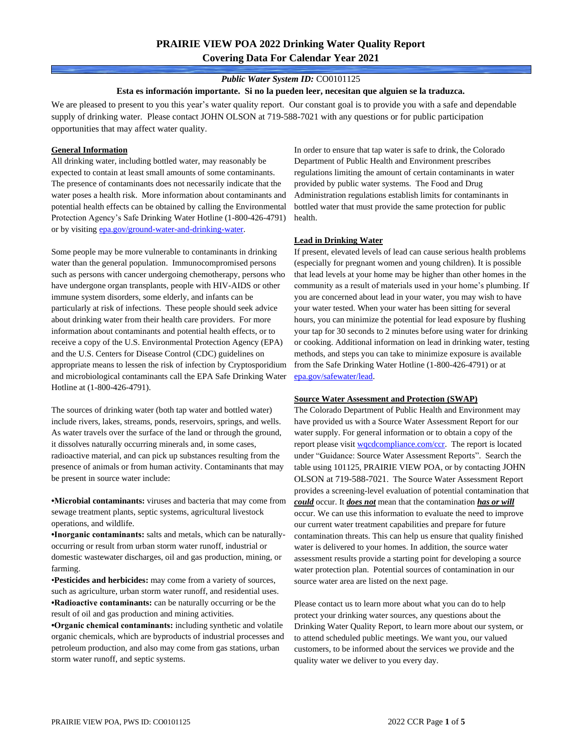# **PRAIRIE VIEW POA 2022 Drinking Water Quality Report Covering Data For Calendar Year 2021**

## *Public Water System ID:* CO0101125

#### **Esta es información importante. Si no la pueden leer, necesitan que alguien se la traduzca.**

We are pleased to present to you this year's water quality report. Our constant goal is to provide you with a safe and dependable supply of drinking water. Please contact JOHN OLSON at 719-588-7021 with any questions or for public participation opportunities that may affect water quality.

### **General Information**

All drinking water, including bottled water, may reasonably be expected to contain at least small amounts of some contaminants. The presence of contaminants does not necessarily indicate that the water poses a health risk. More information about contaminants and potential health effects can be obtained by calling the Environmental Protection Agency's Safe Drinking Water Hotline (1-800-426-4791) or by visiting [epa.gov/ground-water-and-drinking-water.](https://www.epa.gov/ground-water-and-drinking-water)

Some people may be more vulnerable to contaminants in drinking water than the general population. Immunocompromised persons such as persons with cancer undergoing chemotherapy, persons who have undergone organ transplants, people with HIV-AIDS or other immune system disorders, some elderly, and infants can be particularly at risk of infections. These people should seek advice about drinking water from their health care providers. For more information about contaminants and potential health effects, or to receive a copy of the U.S. Environmental Protection Agency (EPA) and the U.S. Centers for Disease Control (CDC) guidelines on appropriate means to lessen the risk of infection by Cryptosporidium and microbiological contaminants call the EPA Safe Drinking Water Hotline at (1-800-426-4791).

The sources of drinking water (both tap water and bottled water) include rivers, lakes, streams, ponds, reservoirs, springs, and wells. As water travels over the surface of the land or through the ground, it dissolves naturally occurring minerals and, in some cases, radioactive material, and can pick up substances resulting from the presence of animals or from human activity. Contaminants that may be present in source water include:

**•Microbial contaminants:** viruses and bacteria that may come from sewage treatment plants, septic systems, agricultural livestock operations, and wildlife.

**•Inorganic contaminants:** salts and metals, which can be naturallyoccurring or result from urban storm water runoff, industrial or domestic wastewater discharges, oil and gas production, mining, or farming.

•**Pesticides and herbicides:** may come from a variety of sources, such as agriculture, urban storm water runoff, and residential uses. **•Radioactive contaminants:** can be naturally occurring or be the result of oil and gas production and mining activities.

**•Organic chemical contaminants:** including synthetic and volatile organic chemicals, which are byproducts of industrial processes and petroleum production, and also may come from gas stations, urban storm water runoff, and septic systems.

In order to ensure that tap water is safe to drink, the Colorado Department of Public Health and Environment prescribes regulations limiting the amount of certain contaminants in water provided by public water systems. The Food and Drug Administration regulations establish limits for contaminants in bottled water that must provide the same protection for public health.

### **Lead in Drinking Water**

If present, elevated levels of lead can cause serious health problems (especially for pregnant women and young children). It is possible that lead levels at your home may be higher than other homes in the community as a result of materials used in your home's plumbing. If you are concerned about lead in your water, you may wish to have your water tested. When your water has been sitting for several hours, you can minimize the potential for lead exposure by flushing your tap for 30 seconds to 2 minutes before using water for drinking or cooking. Additional information on lead in drinking water, testing methods, and steps you can take to minimize exposure is available from the Safe Drinking Water Hotline (1-800-426-4791) or at [epa.gov/safewater/lead.](http://www.epa.gov/safewater/lead) 

#### **Source Water Assessment and Protection (SWAP)**

The Colorado Department of Public Health and Environment may have provided us with a Source Water Assessment Report for our water supply. For general information or to obtain a copy of the report please visit [wqcdcompliance.com/ccr.](https://wqcdcompliance.com/ccr) The report is located under "Guidance: Source Water Assessment Reports". Search the table using 101125, PRAIRIE VIEW POA, or by contacting JOHN OLSON at 719-588-7021. The Source Water Assessment Report provides a screening-level evaluation of potential contamination that *could* occur. It *does not* mean that the contamination *has or will* occur. We can use this information to evaluate the need to improve our current water treatment capabilities and prepare for future contamination threats. This can help us ensure that quality finished water is delivered to your homes. In addition, the source water assessment results provide a starting point for developing a source water protection plan. Potential sources of contamination in our source water area are listed on the next page.

Please contact us to learn more about what you can do to help protect your drinking water sources, any questions about the Drinking Water Quality Report, to learn more about our system, or to attend scheduled public meetings. We want you, our valued customers, to be informed about the services we provide and the quality water we deliver to you every day.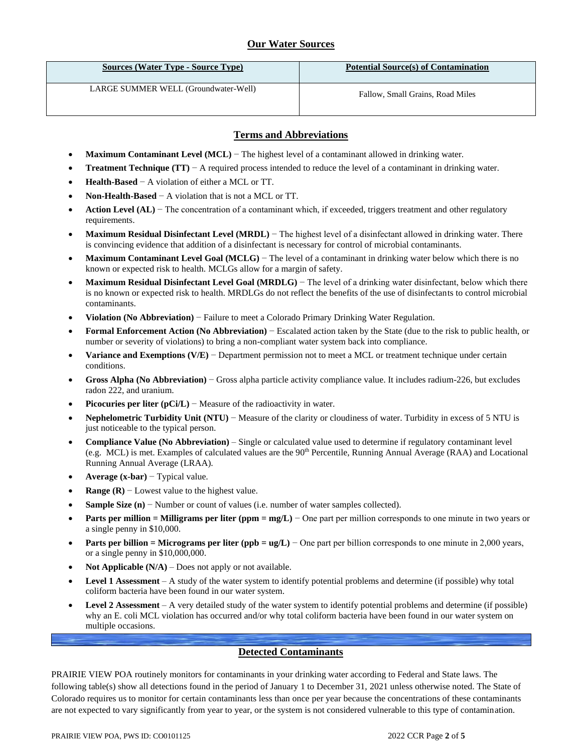# **Our Water Sources**

| <b>Sources (Water Type - Source Type)</b> | <b>Potential Source(s) of Contamination</b> |
|-------------------------------------------|---------------------------------------------|
| LARGE SUMMER WELL (Groundwater-Well)      | Fallow, Small Grains, Road Miles            |

## **Terms and Abbreviations**

- **Maximum Contaminant Level (MCL)** − The highest level of a contaminant allowed in drinking water.
- **Treatment Technique (TT)** − A required process intended to reduce the level of a contaminant in drinking water.
- **Health-Based** − A violation of either a MCL or TT.
- **Non-Health-Based** − A violation that is not a MCL or TT.
- **Action Level (AL)** − The concentration of a contaminant which, if exceeded, triggers treatment and other regulatory requirements.
- **Maximum Residual Disinfectant Level (MRDL)** − The highest level of a disinfectant allowed in drinking water. There is convincing evidence that addition of a disinfectant is necessary for control of microbial contaminants.
- **Maximum Contaminant Level Goal (MCLG)** − The level of a contaminant in drinking water below which there is no known or expected risk to health. MCLGs allow for a margin of safety.
- **Maximum Residual Disinfectant Level Goal (MRDLG)** − The level of a drinking water disinfectant, below which there is no known or expected risk to health. MRDLGs do not reflect the benefits of the use of disinfectants to control microbial contaminants.
- **Violation (No Abbreviation)** − Failure to meet a Colorado Primary Drinking Water Regulation.
- **Formal Enforcement Action (No Abbreviation)** − Escalated action taken by the State (due to the risk to public health, or number or severity of violations) to bring a non-compliant water system back into compliance.
- **Variance and Exemptions (V/E)** − Department permission not to meet a MCL or treatment technique under certain conditions.
- **Gross Alpha (No Abbreviation)** − Gross alpha particle activity compliance value. It includes radium-226, but excludes radon 222, and uranium.
- **Picocuries per liter (pCi/L)** − Measure of the radioactivity in water.
- **Nephelometric Turbidity Unit (NTU)** − Measure of the clarity or cloudiness of water. Turbidity in excess of 5 NTU is just noticeable to the typical person.
- **Compliance Value (No Abbreviation)** Single or calculated value used to determine if regulatory contaminant level (e.g. MCL) is met. Examples of calculated values are the 90<sup>th</sup> Percentile, Running Annual Average (RAA) and Locational Running Annual Average (LRAA).
- **Average (x-bar)** − Typical value.
- **Range (R)**  $-$  Lowest value to the highest value.
- **Sample Size (n)** − Number or count of values (i.e. number of water samples collected).
- **Parts per million = Milligrams per liter (ppm = mg/L)** − One part per million corresponds to one minute in two years or a single penny in \$10,000.
- **Parts per billion = Micrograms per liter (ppb = ug/L)** − One part per billion corresponds to one minute in 2,000 years, or a single penny in \$10,000,000.
- **Not Applicable**  $(N/A)$  Does not apply or not available.
- **Level 1 Assessment** A study of the water system to identify potential problems and determine (if possible) why total coliform bacteria have been found in our water system.
- **Level 2 Assessment** A very detailed study of the water system to identify potential problems and determine (if possible) why an E. coli MCL violation has occurred and/or why total coliform bacteria have been found in our water system on multiple occasions.

## **Detected Contaminants**

PRAIRIE VIEW POA routinely monitors for contaminants in your drinking water according to Federal and State laws. The following table(s) show all detections found in the period of January 1 to December 31, 2021 unless otherwise noted. The State of Colorado requires us to monitor for certain contaminants less than once per year because the concentrations of these contaminants are not expected to vary significantly from year to year, or the system is not considered vulnerable to this type of contamination.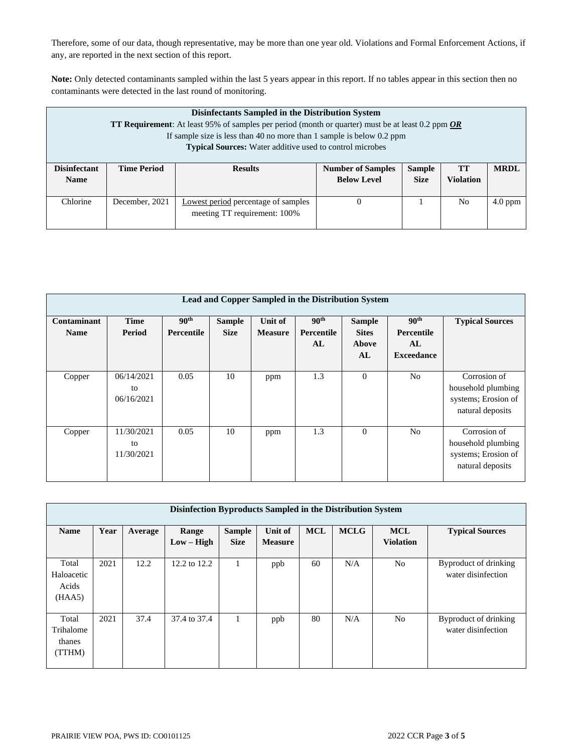Therefore, some of our data, though representative, may be more than one year old. Violations and Formal Enforcement Actions, if any, are reported in the next section of this report.

**Note:** Only detected contaminants sampled within the last 5 years appear in this report. If no tables appear in this section then no contaminants were detected in the last round of monitoring.

| Disinfectants Sampled in the Distribution System<br><b>TT Requirement:</b> At least 95% of samples per period (month or quarter) must be at least 0.2 ppm $OR$<br>If sample size is less than 40 no more than 1 sample is below 0.2 ppm<br><b>Typical Sources:</b> Water additive used to control microbes |                    |                                                                     |                                                |                              |                        |             |  |  |  |
|------------------------------------------------------------------------------------------------------------------------------------------------------------------------------------------------------------------------------------------------------------------------------------------------------------|--------------------|---------------------------------------------------------------------|------------------------------------------------|------------------------------|------------------------|-------------|--|--|--|
| <b>Disinfectant</b><br><b>Name</b>                                                                                                                                                                                                                                                                         | <b>Time Period</b> | <b>Results</b>                                                      | <b>Number of Samples</b><br><b>Below Level</b> | <b>Sample</b><br><b>Size</b> | <b>TT</b><br>Violation | <b>MRDL</b> |  |  |  |
| Chlorine                                                                                                                                                                                                                                                                                                   | December, 2021     | Lowest period percentage of samples<br>meeting TT requirement: 100% | 0                                              |                              | N <sub>0</sub>         | $4.0$ ppm   |  |  |  |

| Lead and Copper Sampled in the Distribution System |                                |                                       |                              |                           |                                      |                                              |                                                           |                                                                               |  |  |  |
|----------------------------------------------------|--------------------------------|---------------------------------------|------------------------------|---------------------------|--------------------------------------|----------------------------------------------|-----------------------------------------------------------|-------------------------------------------------------------------------------|--|--|--|
| Contaminant<br><b>Name</b>                         | <b>Time</b><br>Period          | 90 <sup>th</sup><br><b>Percentile</b> | <b>Sample</b><br><b>Size</b> | Unit of<br><b>Measure</b> | 90 <sup>th</sup><br>Percentile<br>AL | <b>Sample</b><br><b>Sites</b><br>Above<br>AL | 90 <sup>th</sup><br>Percentile<br>AL<br><b>Exceedance</b> | <b>Typical Sources</b>                                                        |  |  |  |
| Copper                                             | 06/14/2021<br>to<br>06/16/2021 | 0.05                                  | 10                           | ppm                       | 1.3                                  | $\mathbf{0}$                                 | N <sub>0</sub>                                            | Corrosion of<br>household plumbing<br>systems; Erosion of<br>natural deposits |  |  |  |
| Copper                                             | 11/30/2021<br>to<br>11/30/2021 | 0.05                                  | 10                           | ppm                       | 1.3                                  | $\Omega$                                     | N <sub>0</sub>                                            | Corrosion of<br>household plumbing<br>systems; Erosion of<br>natural deposits |  |  |  |

| Disinfection Byproducts Sampled in the Distribution System |      |         |                       |                              |                           |            |             |                                |                                             |  |  |
|------------------------------------------------------------|------|---------|-----------------------|------------------------------|---------------------------|------------|-------------|--------------------------------|---------------------------------------------|--|--|
| <b>Name</b>                                                | Year | Average | Range<br>$Low - High$ | <b>Sample</b><br><b>Size</b> | Unit of<br><b>Measure</b> | <b>MCL</b> | <b>MCLG</b> | <b>MCL</b><br><b>Violation</b> | <b>Typical Sources</b>                      |  |  |
| Total<br>Haloacetic<br>Acids<br>(HAA5)                     | 2021 | 12.2    | 12.2 to 12.2          |                              | ppb                       | 60         | N/A         | N <sub>o</sub>                 | Byproduct of drinking<br>water disinfection |  |  |
| Total<br>Trihalome<br>thanes<br>(TTHM)                     | 2021 | 37.4    | 37.4 to 37.4          |                              | ppb                       | 80         | N/A         | N <sub>o</sub>                 | Byproduct of drinking<br>water disinfection |  |  |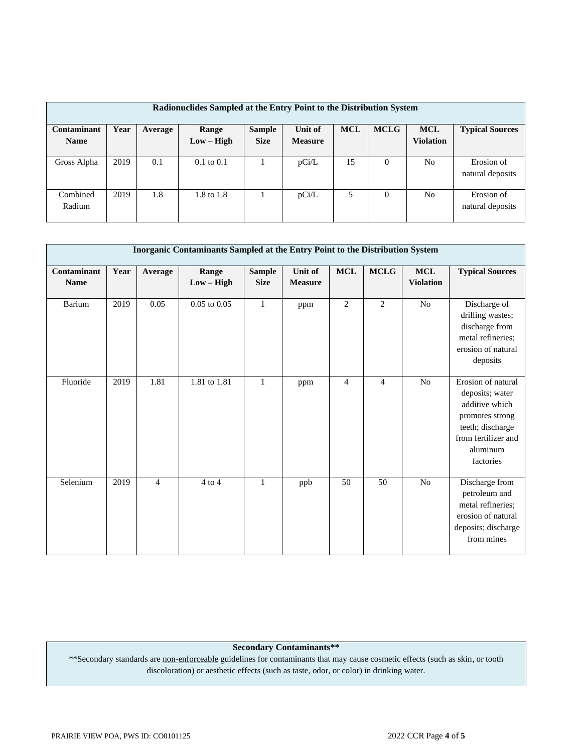| Radionuclides Sampled at the Entry Point to the Distribution System |      |         |                       |               |                |            |             |            |                        |  |  |  |
|---------------------------------------------------------------------|------|---------|-----------------------|---------------|----------------|------------|-------------|------------|------------------------|--|--|--|
|                                                                     |      |         |                       |               |                |            |             |            |                        |  |  |  |
| Contaminant                                                         | Year | Average | Range                 | <b>Sample</b> | Unit of        | <b>MCL</b> | <b>MCLG</b> | <b>MCL</b> | <b>Typical Sources</b> |  |  |  |
| <b>Name</b>                                                         |      |         | $Low - High$          | <b>Size</b>   | <b>Measure</b> |            |             | Violation  |                        |  |  |  |
|                                                                     |      |         |                       |               |                |            |             |            |                        |  |  |  |
| Gross Alpha                                                         | 2019 | 0.1     | $0.1 \text{ to } 0.1$ |               | pCi/L          | 15         | $\Omega$    | No         | Erosion of             |  |  |  |
|                                                                     |      |         |                       |               |                |            |             |            | natural deposits       |  |  |  |
|                                                                     |      |         |                       |               |                |            |             |            |                        |  |  |  |
| Combined                                                            | 2019 | 1.8     | 1.8 to 1.8            |               | pCi/L          | 5          | $\Omega$    | No         | Erosion of             |  |  |  |
| Radium                                                              |      |         |                       |               |                |            |             |            | natural deposits       |  |  |  |
|                                                                     |      |         |                       |               |                |            |             |            |                        |  |  |  |

|                            | Inorganic Contaminants Sampled at the Entry Point to the Distribution System |                |                       |                              |                                  |                |                |                                |                                                                                                                                                |  |  |
|----------------------------|------------------------------------------------------------------------------|----------------|-----------------------|------------------------------|----------------------------------|----------------|----------------|--------------------------------|------------------------------------------------------------------------------------------------------------------------------------------------|--|--|
| Contaminant<br><b>Name</b> | Year                                                                         | Average        | Range<br>$Low - High$ | <b>Sample</b><br><b>Size</b> | <b>Unit of</b><br><b>Measure</b> | $\bf MCL$      | <b>MCLG</b>    | <b>MCL</b><br><b>Violation</b> | <b>Typical Sources</b>                                                                                                                         |  |  |
| Barium                     | 2019                                                                         | 0.05           | $0.05$ to $0.05\,$    | $\mathbf{1}$                 | ppm                              | $\mathbf{2}$   | $\overline{2}$ | N <sub>o</sub>                 | Discharge of<br>drilling wastes;<br>discharge from<br>metal refineries;<br>erosion of natural<br>deposits                                      |  |  |
| Fluoride                   | 2019                                                                         | 1.81           | 1.81 to 1.81          | $\mathbf{1}$                 | ppm                              | $\overline{4}$ | $\overline{4}$ | N <sub>o</sub>                 | Erosion of natural<br>deposits; water<br>additive which<br>promotes strong<br>teeth; discharge<br>from fertilizer and<br>aluminum<br>factories |  |  |
| Selenium                   | 2019                                                                         | $\overline{4}$ | $4$ to $4$            | $\mathbf{1}$                 | ppb                              | 50             | 50             | N <sub>o</sub>                 | Discharge from<br>petroleum and<br>metal refineries;<br>erosion of natural<br>deposits; discharge<br>from mines                                |  |  |

**Secondary Contaminants\*\***

\*\*Secondary standards are non-enforceable guidelines for contaminants that may cause cosmetic effects (such as skin, or tooth discoloration) or aesthetic effects (such as taste, odor, or color) in drinking water.